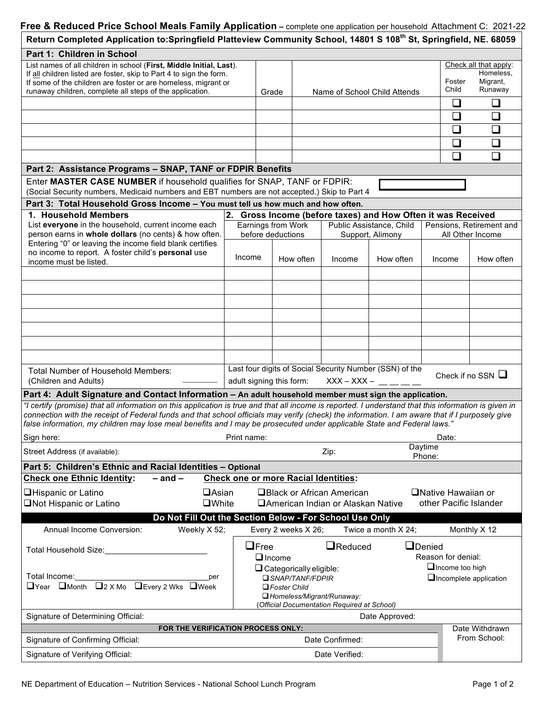| Return Completed Application to:Springfield Platteview Community School, 14801 S 108 <sup>th</sup> St, Springfield, NE. 68059                                                                                                                                                                                                                                                                                                      |                                                                                                                             |                                                                                 |                     |                                                     |                              |                                              |                            |                                                           |  |  |  |  |  |
|------------------------------------------------------------------------------------------------------------------------------------------------------------------------------------------------------------------------------------------------------------------------------------------------------------------------------------------------------------------------------------------------------------------------------------|-----------------------------------------------------------------------------------------------------------------------------|---------------------------------------------------------------------------------|---------------------|-----------------------------------------------------|------------------------------|----------------------------------------------|----------------------------|-----------------------------------------------------------|--|--|--|--|--|
| Part 1: Children in School                                                                                                                                                                                                                                                                                                                                                                                                         |                                                                                                                             |                                                                                 |                     |                                                     |                              |                                              |                            |                                                           |  |  |  |  |  |
| List names of all children in school (First, Middle Initial, Last).<br>If all children listed are foster, skip to Part 4 to sign the form.<br>If some of the children are foster or are homeless, migrant or<br>runaway children, complete all steps of the application.                                                                                                                                                           |                                                                                                                             | Grade                                                                           |                     |                                                     | Name of School Child Attends |                                              | Foster<br>Child            | Check all that apply:<br>Homeless,<br>Migrant,<br>Runaway |  |  |  |  |  |
|                                                                                                                                                                                                                                                                                                                                                                                                                                    |                                                                                                                             |                                                                                 |                     |                                                     |                              |                                              | ❏                          | $\Box$                                                    |  |  |  |  |  |
|                                                                                                                                                                                                                                                                                                                                                                                                                                    |                                                                                                                             |                                                                                 |                     |                                                     |                              |                                              | ❏                          | $\Box$                                                    |  |  |  |  |  |
|                                                                                                                                                                                                                                                                                                                                                                                                                                    |                                                                                                                             |                                                                                 |                     |                                                     |                              |                                              | □                          | $\Box$                                                    |  |  |  |  |  |
|                                                                                                                                                                                                                                                                                                                                                                                                                                    |                                                                                                                             |                                                                                 |                     |                                                     |                              |                                              | ❏                          | □                                                         |  |  |  |  |  |
|                                                                                                                                                                                                                                                                                                                                                                                                                                    |                                                                                                                             |                                                                                 |                     |                                                     |                              |                                              |                            |                                                           |  |  |  |  |  |
|                                                                                                                                                                                                                                                                                                                                                                                                                                    |                                                                                                                             |                                                                                 |                     |                                                     |                              |                                              | □                          | $\Box$                                                    |  |  |  |  |  |
| Part 2: Assistance Programs - SNAP, TANF or FDPIR Benefits                                                                                                                                                                                                                                                                                                                                                                         |                                                                                                                             |                                                                                 |                     |                                                     |                              |                                              |                            |                                                           |  |  |  |  |  |
| Enter MASTER CASE NUMBER if household qualifies for SNAP, TANF or FDPIR:<br>(Social Security numbers, Medicaid numbers and EBT numbers are not accepted.) Skip to Part 4                                                                                                                                                                                                                                                           |                                                                                                                             |                                                                                 |                     |                                                     |                              |                                              |                            |                                                           |  |  |  |  |  |
| Part 3: Total Household Gross Income - You must tell us how much and how often.                                                                                                                                                                                                                                                                                                                                                    |                                                                                                                             |                                                                                 |                     |                                                     |                              |                                              |                            |                                                           |  |  |  |  |  |
| 1. Household Members                                                                                                                                                                                                                                                                                                                                                                                                               | 2.                                                                                                                          | Gross Income (before taxes) and How Often it was Received<br>Earnings from Work |                     |                                                     |                              |                                              |                            |                                                           |  |  |  |  |  |
| List everyone in the household, current income each<br>person earns in whole dollars (no cents) & how often.<br>Entering "0" or leaving the income field blank certifies                                                                                                                                                                                                                                                           |                                                                                                                             | before deductions                                                               |                     | Public Assistance, Child<br>Support, Alimony        |                              | Pensions, Retirement and<br>All Other Income |                            |                                                           |  |  |  |  |  |
| no income to report. A foster child's personal use<br>income must be listed.                                                                                                                                                                                                                                                                                                                                                       | Income                                                                                                                      |                                                                                 | How often           | Income                                              | How often                    |                                              | How often<br>Income        |                                                           |  |  |  |  |  |
|                                                                                                                                                                                                                                                                                                                                                                                                                                    |                                                                                                                             |                                                                                 |                     |                                                     |                              |                                              |                            |                                                           |  |  |  |  |  |
|                                                                                                                                                                                                                                                                                                                                                                                                                                    |                                                                                                                             |                                                                                 |                     |                                                     |                              |                                              |                            |                                                           |  |  |  |  |  |
|                                                                                                                                                                                                                                                                                                                                                                                                                                    |                                                                                                                             |                                                                                 |                     |                                                     |                              |                                              |                            |                                                           |  |  |  |  |  |
|                                                                                                                                                                                                                                                                                                                                                                                                                                    |                                                                                                                             |                                                                                 |                     |                                                     |                              |                                              |                            |                                                           |  |  |  |  |  |
|                                                                                                                                                                                                                                                                                                                                                                                                                                    |                                                                                                                             |                                                                                 |                     |                                                     |                              |                                              |                            |                                                           |  |  |  |  |  |
|                                                                                                                                                                                                                                                                                                                                                                                                                                    |                                                                                                                             |                                                                                 |                     |                                                     |                              |                                              |                            |                                                           |  |  |  |  |  |
|                                                                                                                                                                                                                                                                                                                                                                                                                                    |                                                                                                                             |                                                                                 |                     |                                                     |                              |                                              |                            |                                                           |  |  |  |  |  |
| Total Number of Household Members:                                                                                                                                                                                                                                                                                                                                                                                                 | Last four digits of Social Security Number (SSN) of the<br>Check if no SSN $\Box$<br>adult signing this form: $XXX - XXX -$ |                                                                                 |                     |                                                     |                              |                                              |                            |                                                           |  |  |  |  |  |
| (Children and Adults)                                                                                                                                                                                                                                                                                                                                                                                                              |                                                                                                                             |                                                                                 |                     |                                                     |                              |                                              |                            |                                                           |  |  |  |  |  |
| Part 4: Adult Signature and Contact Information - An adult household member must sign the application.                                                                                                                                                                                                                                                                                                                             |                                                                                                                             |                                                                                 |                     |                                                     |                              |                                              |                            |                                                           |  |  |  |  |  |
| "I certify (promise) that all information on this application is true and that all income is reported. I understand that this information is given in<br>connection with the receipt of Federal funds and that school officials may verify (check) the information. I am aware that if I purposely give<br>false information, my children may lose meal benefits and I may be prosecuted under applicable State and Federal laws." |                                                                                                                             |                                                                                 |                     |                                                     |                              |                                              |                            |                                                           |  |  |  |  |  |
| Sign here:                                                                                                                                                                                                                                                                                                                                                                                                                         | Print name:                                                                                                                 |                                                                                 |                     |                                                     |                              |                                              | Date:                      |                                                           |  |  |  |  |  |
| Daytime<br>Street Address (if available):<br>Zip:<br>Phone:                                                                                                                                                                                                                                                                                                                                                                        |                                                                                                                             |                                                                                 |                     |                                                     |                              |                                              |                            |                                                           |  |  |  |  |  |
| Part 5: Children's Ethnic and Racial Identities - Optional                                                                                                                                                                                                                                                                                                                                                                         |                                                                                                                             |                                                                                 |                     |                                                     |                              |                                              |                            |                                                           |  |  |  |  |  |
| $-$ and $-$<br><b>Check one Ethnic Identity:</b>                                                                                                                                                                                                                                                                                                                                                                                   |                                                                                                                             |                                                                                 |                     | <b>Check one or more Racial Identities:</b>         |                              |                                              |                            |                                                           |  |  |  |  |  |
| $\Box$ Asian<br>□Hispanic or Latino                                                                                                                                                                                                                                                                                                                                                                                                |                                                                                                                             |                                                                                 |                     | □Black or African American                          |                              |                                              | <b>ONative Hawaiian or</b> |                                                           |  |  |  |  |  |
| <b>ONot Hispanic or Latino</b><br><b>OWhite</b>                                                                                                                                                                                                                                                                                                                                                                                    |                                                                                                                             |                                                                                 |                     | □ American Indian or Alaskan Native                 |                              |                                              |                            | other Pacific Islander                                    |  |  |  |  |  |
| Do Not Fill Out the Section Below - For School Use Only                                                                                                                                                                                                                                                                                                                                                                            |                                                                                                                             |                                                                                 |                     |                                                     |                              |                                              |                            |                                                           |  |  |  |  |  |
| Annual Income Conversion:<br>Weekly X 52;                                                                                                                                                                                                                                                                                                                                                                                          |                                                                                                                             |                                                                                 | Every 2 weeks X 26; |                                                     | Twice a month X 24;          |                                              |                            | Monthly X 12                                              |  |  |  |  |  |
| Total Household Size:                                                                                                                                                                                                                                                                                                                                                                                                              | $\Box$ Free<br>$\Box$ Reduced<br>$\Box$ Denied<br>Reason for denial:                                                        |                                                                                 |                     |                                                     |                              |                                              |                            |                                                           |  |  |  |  |  |
|                                                                                                                                                                                                                                                                                                                                                                                                                                    |                                                                                                                             | $\Box$ Income                                                                   |                     |                                                     |                              |                                              |                            |                                                           |  |  |  |  |  |
| Total Income:<br>per                                                                                                                                                                                                                                                                                                                                                                                                               |                                                                                                                             |                                                                                 |                     | $\Box$ Categorically eligible:<br>□ SNAP/TANF/FDPIR |                              |                                              |                            | $\Box$ Income too high<br>$\Box$ Incomplete application   |  |  |  |  |  |
| □Every 2 Wks □Week<br>$\Box$ Year $\Box$ Month $\Box$ 2 X Mo<br>$\Box$ Foster Child                                                                                                                                                                                                                                                                                                                                                |                                                                                                                             |                                                                                 |                     |                                                     |                              |                                              |                            |                                                           |  |  |  |  |  |
|                                                                                                                                                                                                                                                                                                                                                                                                                                    |                                                                                                                             |                                                                                 |                     | Homeless/Migrant/Runaway:                           |                              |                                              |                            |                                                           |  |  |  |  |  |
| (Official Documentation Required at School)<br>Signature of Determining Official:<br>Date Approved:                                                                                                                                                                                                                                                                                                                                |                                                                                                                             |                                                                                 |                     |                                                     |                              |                                              |                            |                                                           |  |  |  |  |  |
| FOR THE VERIFICATION PROCESS ONLY:<br>Date Withdrawn                                                                                                                                                                                                                                                                                                                                                                               |                                                                                                                             |                                                                                 |                     |                                                     |                              |                                              |                            |                                                           |  |  |  |  |  |
| Signature of Confirming Official:                                                                                                                                                                                                                                                                                                                                                                                                  | From School:<br>Date Confirmed:                                                                                             |                                                                                 |                     |                                                     |                              |                                              |                            |                                                           |  |  |  |  |  |
| Signature of Verifying Official:                                                                                                                                                                                                                                                                                                                                                                                                   | Date Verified:                                                                                                              |                                                                                 |                     |                                                     |                              |                                              |                            |                                                           |  |  |  |  |  |